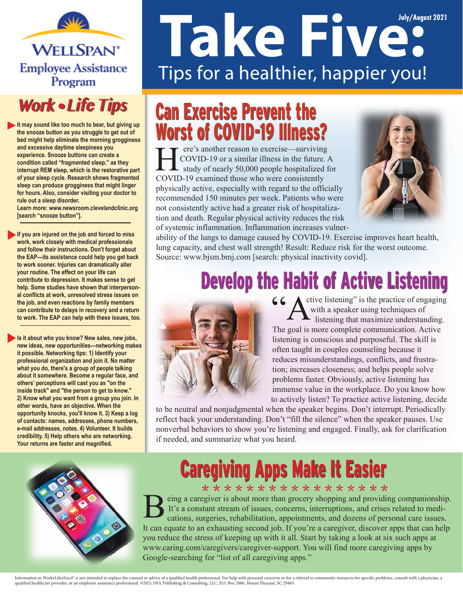

#### **Work . Life Tips**

**It may sound like too much to bear, but giving up the snooze button as you struggle to get out of bed might help eliminate the morning grogginess and excessive daytime sleepiness you experience. Snooze buttons can create a condition called "fragmented sleep," as they interrupt REM sleep, which is the restorative part of your sleep cycle. Research shows fragmented sleep can produce grogginess that might linger for hours. Also, consider visiting your doctor to rule out a sleep disorder.** 

**Learn more: www.newsroom.clevelandclinic.org [search "snooze button"].**

**If you are injured on the job and forced to miss work, work closely with medical professionals and follow their instructions. Don't forget about the EAP—its assistance could help you get back to work sooner. Injuries can dramatically alter your routine. The effect on your life can contribute to depression. It makes sense to get help. Some studies have shown that interpersonal conflicts at work, unresolved stress issues on the job, and even reactions by family members can contribute to delays in recovery and a return to work. The EAP can help with these issues, too.**

**Is it about who you know? New sales, new jobs, new ideas, new opportunities—networking makes it possible. Networking tips: 1) Identify your professional organization and join it. No matter what you do, there's a group of people talking about it somewhere. Become a regular face, and others' perceptions will cast you as "on the inside track" and "the person to get to know." 2) Know what you want from a group you join. In other words, have an objective. When the opportunity knocks, you'll know it. 3) Keep a log of contacts: names, addresses, phone numbers, e-mail addresses, notes. 4) Volunteer. It builds credibility. 5) Help others who are networking. Your returns are faster and magnified.**

# **Take Five:** Tips for a healthier, happier you!

#### Can Exercise Prevent the Can Exercise Prevent the Worst of COVID-19 Illness? Worst of COVID-19 Illness?

ere's another reason to exercise—surviving COVID-19 or a similar illness in the future. A  $\blacktriangle$  study of nearly 50,000 people hospitalized for COVID-19 examined those who were consistently physically active, especially with regard to the officially recommended 150 minutes per week. Patients who were not consistently active had a greater risk of hospitalization and death. Regular physical activity reduces the risk of systemic inflammation. Inflammation increases vulner-



ability of the lungs to damage caused by COVID-19. Exercise improves heart health, lung capacity, and chest wall strength! Result: Reduce risk for the worst outcome. Source: www.bjsm.bmj.com [search: physical inactivity covid].

## Develop the Habit of Active Listening Develop the Habit of Active Listening



ctive listening" is the practice of engaging with a speaker using techniques of listening that maximize understanding. The goal is more complete communication. Active listening is conscious and purposeful. The skill is often taught in couples counseling because it reduces misunderstandings, conflicts, and frustration; increases closeness; and helps people solve problems faster. Obviously, active listening has immense value in the workplace. Do you know how to actively listen? To practice active listening, decide

to be neutral and nonjudgmental when the speaker begins. Don't interrupt. Periodically reflect back your understanding. Don't "fill the silence" when the speaker pauses. Use nonverbal behaviors to show you're listening and engaged. Finally, ask for clarification if needed, and summarize what you heard.



## **Caregiving Apps Make It Easier**

\* \* \* \* \* \* \* \* \* \* \* \* \* \* \* \* \* eing a caregiver is about more than grocery shopping and providing companionship. It's a constant stream of issues, concerns, interruptions, and crises related to medications, surgeries, rehabilitation, appointments, and dozens of personal care issues. It can equate to an exhausting second job. If you're a caregiver, discover apps that can help you reduce the stress of keeping up with it all. Start by taking a look at six such apps at www.caring.com/caregivers/caregiver-support. You will find more caregiving apps by Google-searching for "list of all caregiving apps."

Information in Work-Life-Excel<sup>s</sup> is not intended to replace the counsel or advice of a qualified health professional. For help with personal concerns or for a referral to community resources for specific problems, consult qualied healthcare provider, or an employee assistance professional. ©2021 DFA Publishing & Consulting, LLC, P.O. Box 2006, Mount Pleasant, SC 29465.